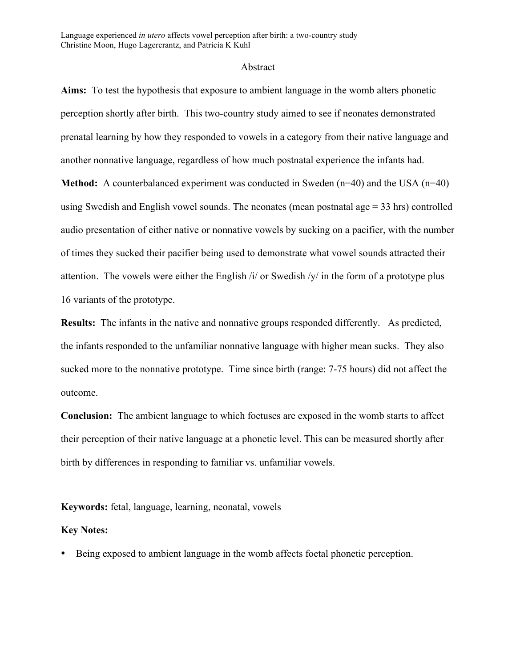Language experienced *in utero* affects vowel perception after birth: a two-country study Christine Moon, Hugo Lagercrantz, and Patricia K Kuhl

## Abstract

**Aims:** To test the hypothesis that exposure to ambient language in the womb alters phonetic perception shortly after birth. This two-country study aimed to see if neonates demonstrated prenatal learning by how they responded to vowels in a category from their native language and another nonnative language, regardless of how much postnatal experience the infants had.

**Method:** A counterbalanced experiment was conducted in Sweden (n=40) and the USA (n=40) using Swedish and English vowel sounds. The neonates (mean postnatal age  $=$  33 hrs) controlled audio presentation of either native or nonnative vowels by sucking on a pacifier, with the number of times they sucked their pacifier being used to demonstrate what vowel sounds attracted their attention. The vowels were either the English  $\frac{1}{4}$  or Swedish  $\frac{1}{4}$  in the form of a prototype plus 16 variants of the prototype.

**Results:** The infants in the native and nonnative groups responded differently. As predicted, the infants responded to the unfamiliar nonnative language with higher mean sucks. They also sucked more to the nonnative prototype. Time since birth (range: 7-75 hours) did not affect the outcome.

**Conclusion:** The ambient language to which foetuses are exposed in the womb starts to affect their perception of their native language at a phonetic level. This can be measured shortly after birth by differences in responding to familiar vs. unfamiliar vowels.

**Keywords:** fetal, language, learning, neonatal, vowels

## **Key Notes:**

• Being exposed to ambient language in the womb affects foetal phonetic perception.